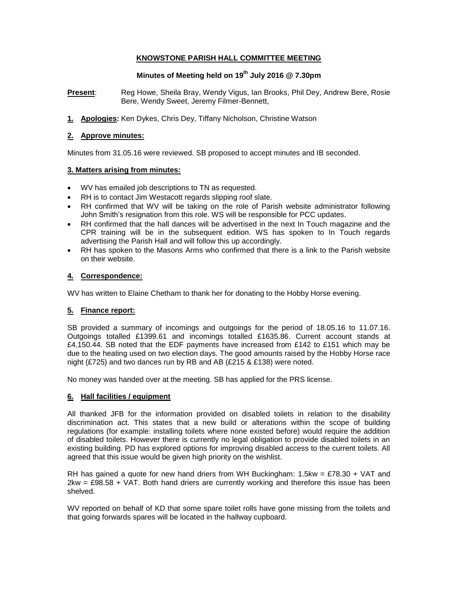## **KNOWSTONE PARISH HALL COMMITTEE MEETING**

# **Minutes of Meeting held on 19th July 2016 @ 7.30pm**

**Present:** Reg Howe, Sheila Bray, Wendy Vigus, Ian Brooks, Phil Dey, Andrew Bere, Rosie Bere, Wendy Sweet, Jeremy Filmer-Bennett,

**1. Apologies:** Ken Dykes, Chris Dey, Tiffany Nicholson, Christine Watson

### **2. Approve minutes:**

Minutes from 31.05.16 were reviewed. SB proposed to accept minutes and IB seconded.

### **3. Matters arising from minutes:**

- WV has emailed job descriptions to TN as requested.
- RH is to contact Jim Westacott regards slipping roof slate.
- RH confirmed that WV will be taking on the role of Parish website administrator following John Smith's resignation from this role. WS will be responsible for PCC updates.
- RH confirmed that the hall dances will be advertised in the next In Touch magazine and the CPR training will be in the subsequent edition. WS has spoken to In Touch regards advertising the Parish Hall and will follow this up accordingly.
- RH has spoken to the Masons Arms who confirmed that there is a link to the Parish website on their website.

## **4. Correspondence:**

WV has written to Elaine Chetham to thank her for donating to the Hobby Horse evening.

## **5. Finance report:**

SB provided a summary of incomings and outgoings for the period of 18.05.16 to 11.07.16. Outgoings totalled £1399.61 and incomings totalled £1635.86. Current account stands at £4,150.44. SB noted that the EDF payments have increased from £142 to £151 which may be due to the heating used on two election days. The good amounts raised by the Hobby Horse race night (£725) and two dances run by RB and AB (£215 & £138) were noted.

No money was handed over at the meeting. SB has applied for the PRS license.

#### **6. Hall facilities / equipment**

All thanked JFB for the information provided on disabled toilets in relation to the disability discrimination act. This states that a new build or alterations within the scope of building regulations (for example: installing toilets where none existed before) would require the addition of disabled toilets. However there is currently no legal obligation to provide disabled toilets in an existing building. PD has explored options for improving disabled access to the current toilets. All agreed that this issue would be given high priority on the wishlist.

RH has gained a quote for new hand driers from WH Buckingham: 1.5kw = £78.30 + VAT and  $2kw = £98.58 + VAT$ . Both hand driers are currently working and therefore this issue has been shelved.

WV reported on behalf of KD that some spare toilet rolls have gone missing from the toilets and that going forwards spares will be located in the hallway cupboard.